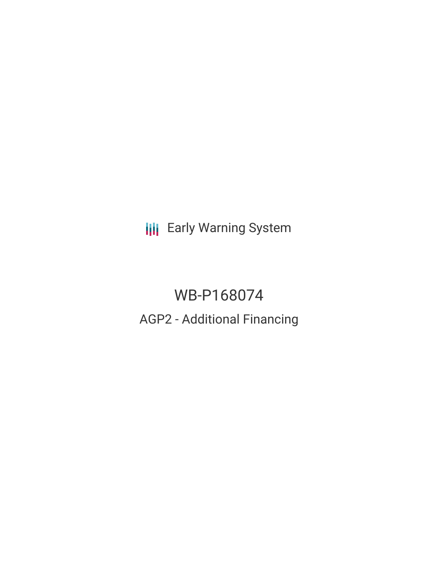**III** Early Warning System

# WB-P168074 AGP2 - Additional Financing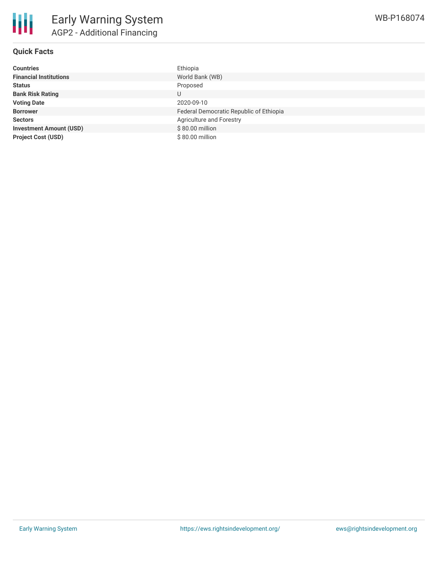

# **Quick Facts**

| <b>Countries</b>               | Ethiopia                                |
|--------------------------------|-----------------------------------------|
| <b>Financial Institutions</b>  | World Bank (WB)                         |
| <b>Status</b>                  | Proposed                                |
| <b>Bank Risk Rating</b>        | U                                       |
| <b>Voting Date</b>             | 2020-09-10                              |
| <b>Borrower</b>                | Federal Democratic Republic of Ethiopia |
| <b>Sectors</b>                 | Agriculture and Forestry                |
| <b>Investment Amount (USD)</b> | \$80.00 million                         |
| <b>Project Cost (USD)</b>      | \$80.00 million                         |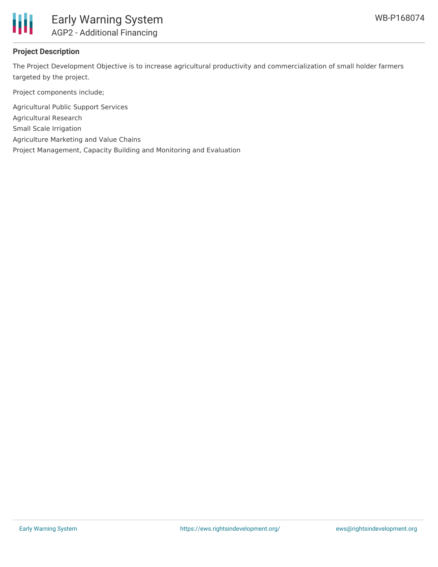

# **Project Description**

The Project Development Objective is to increase agricultural productivity and commercialization of small holder farmers targeted by the project.

Project components include;

Agricultural Public Support Services Agricultural Research Small Scale Irrigation Agriculture Marketing and Value Chains Project Management, Capacity Building and Monitoring and Evaluation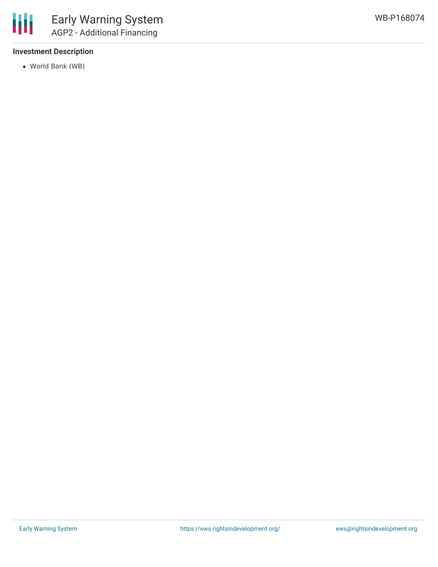# **Investment Description**

World Bank (WB)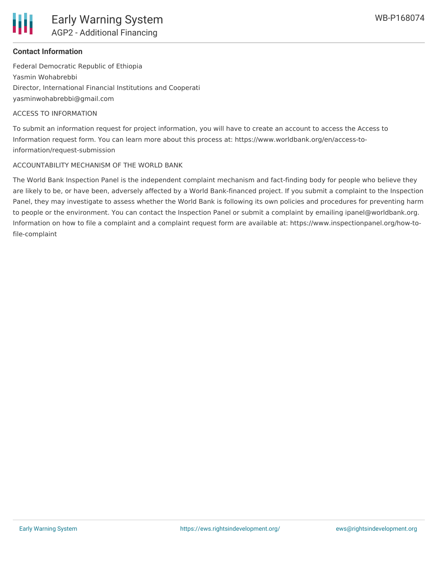

## **Contact Information**

Federal Democratic Republic of Ethiopia Yasmin Wohabrebbi Director, International Financial Institutions and Cooperati yasminwohabrebbi@gmail.com

### ACCESS TO INFORMATION

To submit an information request for project information, you will have to create an account to access the Access to Information request form. You can learn more about this process at: https://www.worldbank.org/en/access-toinformation/request-submission

### ACCOUNTABILITY MECHANISM OF THE WORLD BANK

The World Bank Inspection Panel is the independent complaint mechanism and fact-finding body for people who believe they are likely to be, or have been, adversely affected by a World Bank-financed project. If you submit a complaint to the Inspection Panel, they may investigate to assess whether the World Bank is following its own policies and procedures for preventing harm to people or the environment. You can contact the Inspection Panel or submit a complaint by emailing ipanel@worldbank.org. Information on how to file a complaint and a complaint request form are available at: https://www.inspectionpanel.org/how-tofile-complaint